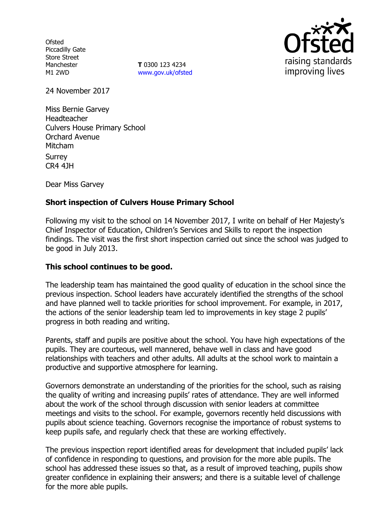**Ofsted** Piccadilly Gate Store Street Manchester M1 2WD

**T** 0300 123 4234 www.gov.uk/ofsted



24 November 2017

Miss Bernie Garvey Headteacher Culvers House Primary School Orchard Avenue Mitcham Surrey CR4 4JH

Dear Miss Garvey

# **Short inspection of Culvers House Primary School**

Following my visit to the school on 14 November 2017, I write on behalf of Her Majesty's Chief Inspector of Education, Children's Services and Skills to report the inspection findings. The visit was the first short inspection carried out since the school was judged to be good in July 2013.

### **This school continues to be good.**

The leadership team has maintained the good quality of education in the school since the previous inspection. School leaders have accurately identified the strengths of the school and have planned well to tackle priorities for school improvement. For example, in 2017, the actions of the senior leadership team led to improvements in key stage 2 pupils' progress in both reading and writing.

Parents, staff and pupils are positive about the school. You have high expectations of the pupils. They are courteous, well mannered, behave well in class and have good relationships with teachers and other adults. All adults at the school work to maintain a productive and supportive atmosphere for learning.

Governors demonstrate an understanding of the priorities for the school, such as raising the quality of writing and increasing pupils' rates of attendance. They are well informed about the work of the school through discussion with senior leaders at committee meetings and visits to the school. For example, governors recently held discussions with pupils about science teaching. Governors recognise the importance of robust systems to keep pupils safe, and regularly check that these are working effectively.

The previous inspection report identified areas for development that included pupils' lack of confidence in responding to questions, and provision for the more able pupils. The school has addressed these issues so that, as a result of improved teaching, pupils show greater confidence in explaining their answers; and there is a suitable level of challenge for the more able pupils.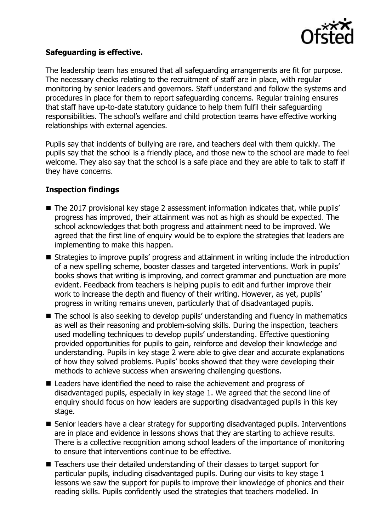

### **Safeguarding is effective.**

The leadership team has ensured that all safeguarding arrangements are fit for purpose. The necessary checks relating to the recruitment of staff are in place, with regular monitoring by senior leaders and governors. Staff understand and follow the systems and procedures in place for them to report safeguarding concerns. Regular training ensures that staff have up-to-date statutory guidance to help them fulfil their safeguarding responsibilities. The school's welfare and child protection teams have effective working relationships with external agencies.

Pupils say that incidents of bullying are rare, and teachers deal with them quickly. The pupils say that the school is a friendly place, and those new to the school are made to feel welcome. They also say that the school is a safe place and they are able to talk to staff if they have concerns.

## **Inspection findings**

- The 2017 provisional key stage 2 assessment information indicates that, while pupils' progress has improved, their attainment was not as high as should be expected. The school acknowledges that both progress and attainment need to be improved. We agreed that the first line of enquiry would be to explore the strategies that leaders are implementing to make this happen.
- **Strategies to improve pupils' progress and attainment in writing include the introduction** of a new spelling scheme, booster classes and targeted interventions. Work in pupils' books shows that writing is improving, and correct grammar and punctuation are more evident. Feedback from teachers is helping pupils to edit and further improve their work to increase the depth and fluency of their writing. However, as yet, pupils' progress in writing remains uneven, particularly that of disadvantaged pupils.
- The school is also seeking to develop pupils' understanding and fluency in mathematics as well as their reasoning and problem-solving skills. During the inspection, teachers used modelling techniques to develop pupils' understanding. Effective questioning provided opportunities for pupils to gain, reinforce and develop their knowledge and understanding. Pupils in key stage 2 were able to give clear and accurate explanations of how they solved problems. Pupils' books showed that they were developing their methods to achieve success when answering challenging questions.
- Leaders have identified the need to raise the achievement and progress of disadvantaged pupils, especially in key stage 1. We agreed that the second line of enquiry should focus on how leaders are supporting disadvantaged pupils in this key stage.
- Senior leaders have a clear strategy for supporting disadvantaged pupils. Interventions are in place and evidence in lessons shows that they are starting to achieve results. There is a collective recognition among school leaders of the importance of monitoring to ensure that interventions continue to be effective.
- Teachers use their detailed understanding of their classes to target support for particular pupils, including disadvantaged pupils. During our visits to key stage 1 lessons we saw the support for pupils to improve their knowledge of phonics and their reading skills. Pupils confidently used the strategies that teachers modelled. In